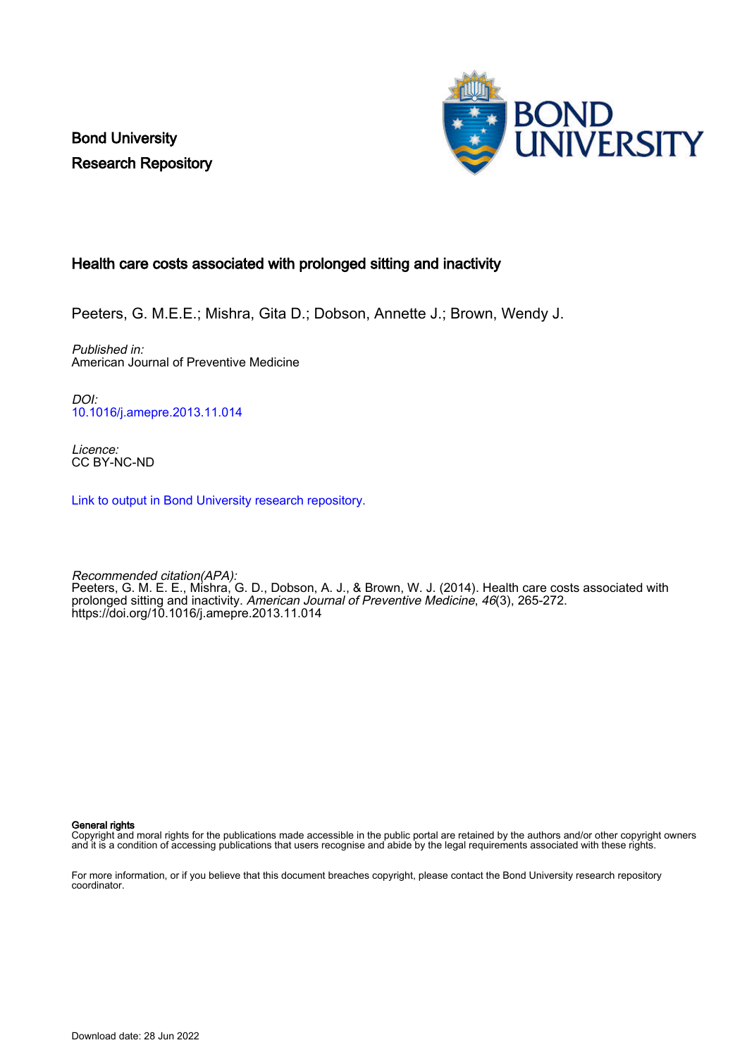Bond University Research Repository



# Health care costs associated with prolonged sitting and inactivity

Peeters, G. M.E.E.; Mishra, Gita D.; Dobson, Annette J.; Brown, Wendy J.

Published in: American Journal of Preventive Medicine

DOI: [10.1016/j.amepre.2013.11.014](https://doi.org/10.1016/j.amepre.2013.11.014)

Licence: CC BY-NC-ND

[Link to output in Bond University research repository.](https://research.bond.edu.au/en/publications/7ccab318-2753-4273-81ae-6c67840f7e9b)

Recommended citation(APA): Peeters, G. M. E. E., Mishra, G. D., Dobson, A. J., & Brown, W. J. (2014). Health care costs associated with prolonged sitting and inactivity. American Journal of Preventive Medicine, 46(3), 265-272. <https://doi.org/10.1016/j.amepre.2013.11.014>

General rights

Copyright and moral rights for the publications made accessible in the public portal are retained by the authors and/or other copyright owners and it is a condition of accessing publications that users recognise and abide by the legal requirements associated with these rights.

For more information, or if you believe that this document breaches copyright, please contact the Bond University research repository coordinator.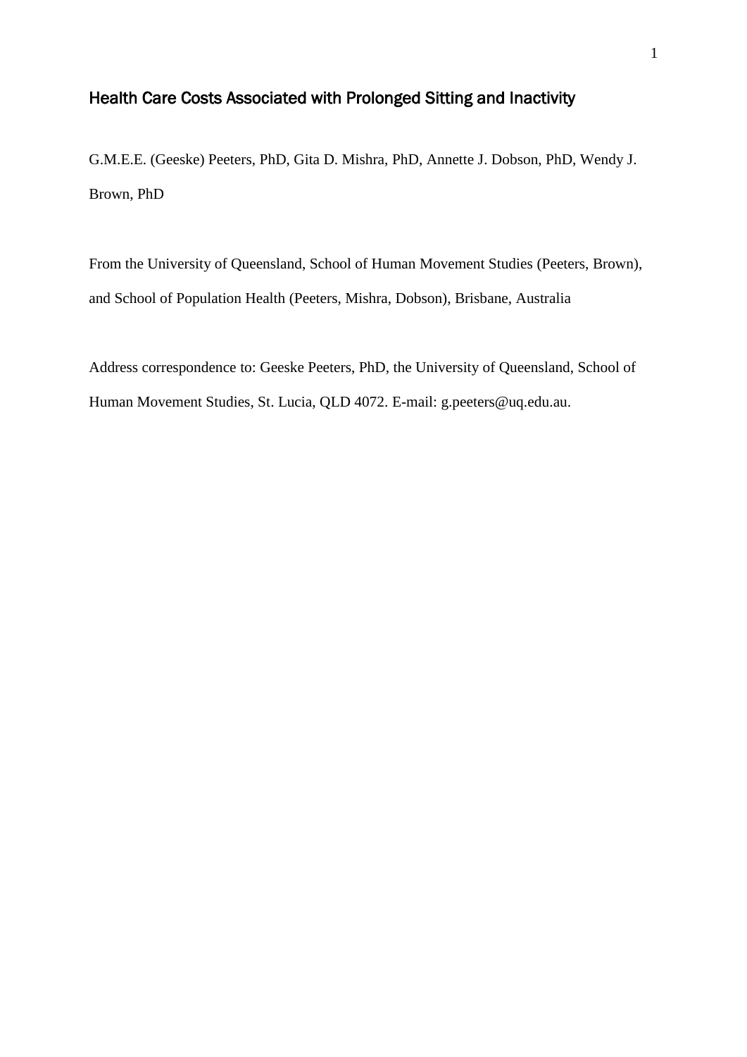# Health Care Costs Associated with Prolonged Sitting and Inactivity

G.M.E.E. (Geeske) Peeters, PhD, Gita D. Mishra, PhD, Annette J. Dobson, PhD, Wendy J. Brown, PhD

From the University of Queensland, School of Human Movement Studies (Peeters, Brown), and School of Population Health (Peeters, Mishra, Dobson), Brisbane, Australia

Address correspondence to: Geeske Peeters, PhD, the University of Queensland, School of Human Movement Studies, St. Lucia, QLD 4072. E-mail: g.peeters@uq.edu.au.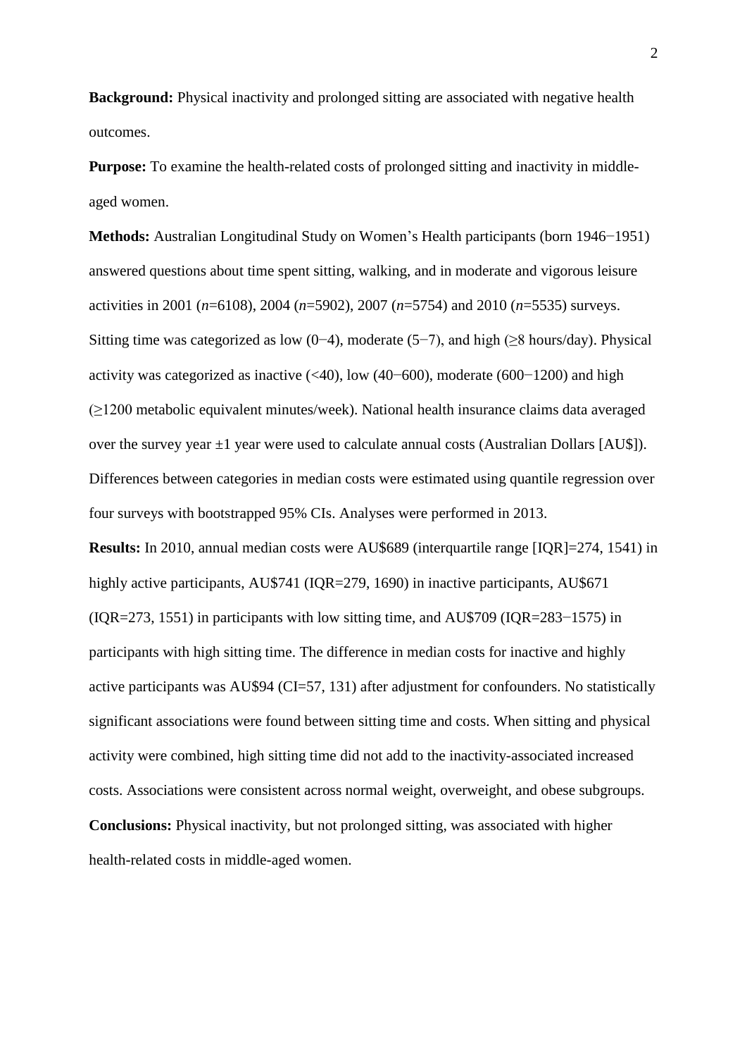**Background:** Physical inactivity and prolonged sitting are associated with negative health outcomes.

**Purpose:** To examine the health-related costs of prolonged sitting and inactivity in middleaged women.

**Methods:** Australian Longitudinal Study on Women's Health participants (born 1946−1951) answered questions about time spent sitting, walking, and in moderate and vigorous leisure activities in 2001 (*n*=6108), 2004 (*n*=5902), 2007 (*n*=5754) and 2010 (*n*=5535) surveys. Sitting time was categorized as low (0−4), moderate (5−7), and high ( $\geq$ 8 hours/day). Physical activity was categorized as inactive (<40), low (40−600), moderate (600−1200) and high (≥1200 metabolic equivalent minutes/week). National health insurance claims data averaged over the survey year  $\pm 1$  year were used to calculate annual costs (Australian Dollars [AU\$]). Differences between categories in median costs were estimated using quantile regression over four surveys with bootstrapped 95% CIs. Analyses were performed in 2013.

**Results:** In 2010, annual median costs were AU\$689 (interquartile range [IQR]=274, 1541) in highly active participants, AU\$741 (IQR=279, 1690) in inactive participants, AU\$671 (IQR=273, 1551) in participants with low sitting time, and AU\$709 (IQR=283−1575) in participants with high sitting time. The difference in median costs for inactive and highly active participants was AU\$94 (CI=57, 131) after adjustment for confounders. No statistically significant associations were found between sitting time and costs. When sitting and physical activity were combined, high sitting time did not add to the inactivity-associated increased costs. Associations were consistent across normal weight, overweight, and obese subgroups. **Conclusions:** Physical inactivity, but not prolonged sitting, was associated with higher health-related costs in middle-aged women.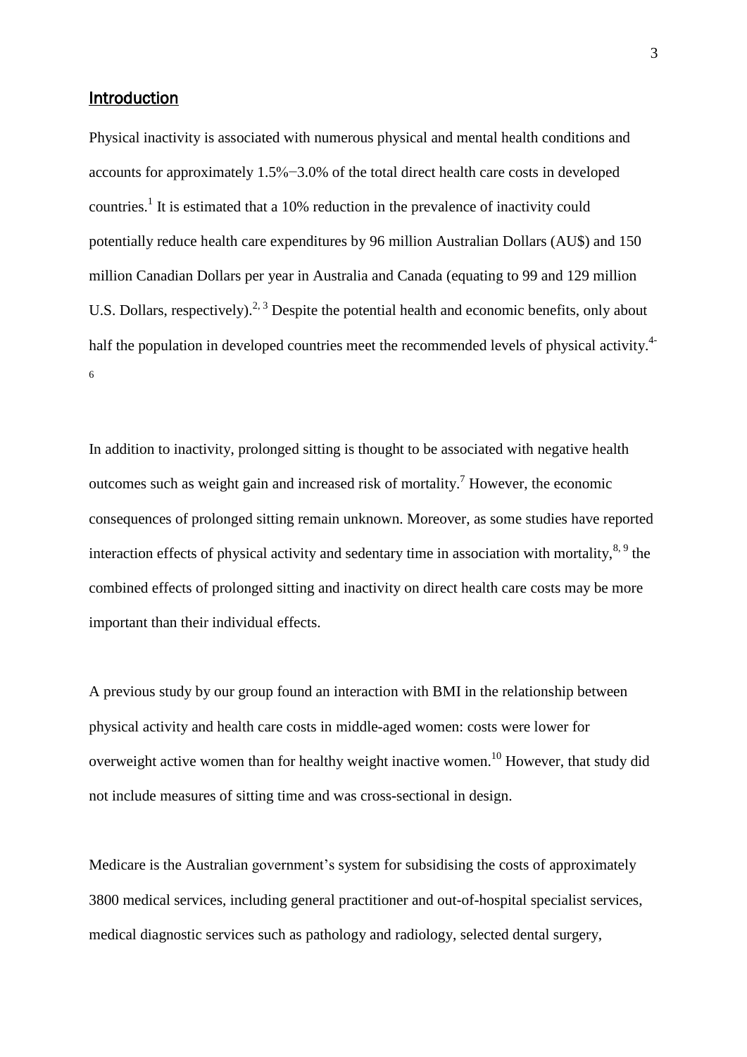## Introduction

Physical inactivity is associated with numerous physical and mental health conditions and accounts for approximately 1.5%−3.0% of the total direct health care costs in developed countries.<sup>[1](#page-14-0)</sup> It is estimated that a 10% reduction in the prevalence of inactivity could potentially reduce health care expenditures by 96 million Australian Dollars (AU\$) and 150 million Canadian Dollars per year in Australia and Canada (equating to 99 and 129 million U.S. Dollars, respectively).<sup>[2,](#page-14-1) [3](#page-14-2)</sup> Despite the potential health and economic benefits, only about half the population in developed countries meet the recommended levels of physical activity.<sup>[4-](#page-14-3)</sup> 6

In addition to inactivity, prolonged sitting is thought to be associated with negative health outcomes such as weight gain and increased risk of mortality.<sup>[7](#page-14-4)</sup> However, the economic consequences of prolonged sitting remain unknown. Moreover, as some studies have reported interaction effects of physical activity and sedentary time in association with mortality,  $8, 9$  $8, 9$  the combined effects of prolonged sitting and inactivity on direct health care costs may be more important than their individual effects.

A previous study by our group found an interaction with BMI in the relationship between physical activity and health care costs in middle-aged women: costs were lower for overweight active women than for healthy weight inactive women.<sup>[10](#page-15-0)</sup> However, that study did not include measures of sitting time and was cross-sectional in design.

Medicare is the Australian government's system for subsidising the costs of approximately 3800 medical services, including general practitioner and out-of-hospital specialist services, medical diagnostic services such as pathology and radiology, selected dental surgery,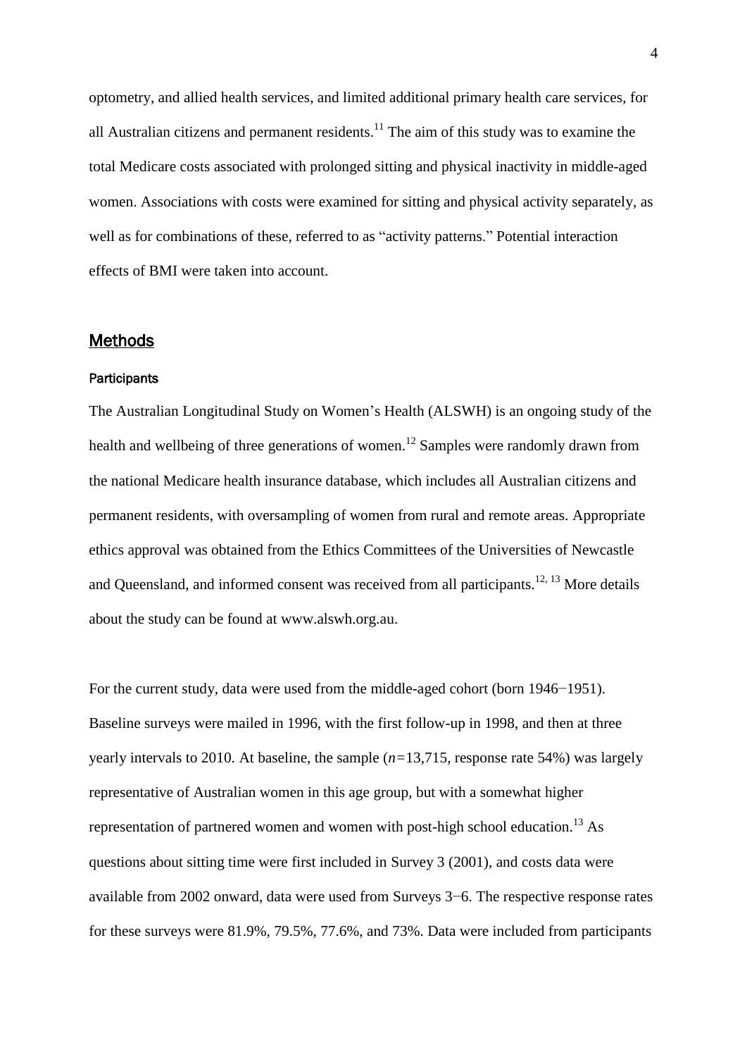optometry, and allied health services, and limited additional primary health care services, for all Australian citizens and permanent residents. $^{11}$  $^{11}$  $^{11}$  The aim of this study was to examine the total Medicare costs associated with prolonged sitting and physical inactivity in middle-aged women. Associations with costs were examined for sitting and physical activity separately, as well as for combinations of these, referred to as "activity patterns." Potential interaction effects of BMI were taken into account.

#### **Methods**

#### **Participants**

The Australian Longitudinal Study on Women's Health (ALSWH) is an ongoing study of the health and wellbeing of three generations of women.<sup>[12](#page-15-2)</sup> Samples were randomly drawn from the national Medicare health insurance database, which includes all Australian citizens and permanent residents, with oversampling of women from rural and remote areas. Appropriate ethics approval was obtained from the Ethics Committees of the Universities of Newcastle and Queensland, and informed consent was received from all participants.<sup>[12,](#page-15-2) [13](#page-15-3)</sup> More details about the study can be found at www.alswh.org.au.

For the current study, data were used from the middle-aged cohort (born 1946−1951). Baseline surveys were mailed in 1996, with the first follow-up in 1998, and then at three yearly intervals to 2010. At baseline, the sample (*n=*13,715, response rate 54%) was largely representative of Australian women in this age group, but with a somewhat higher representation of partnered women and women with post-high school education.<sup>[13](#page-15-3)</sup> As questions about sitting time were first included in Survey 3 (2001), and costs data were available from 2002 onward, data were used from Surveys 3−6. The respective response rates for these surveys were 81.9%, 79.5%, 77.6%, and 73%. Data were included from participants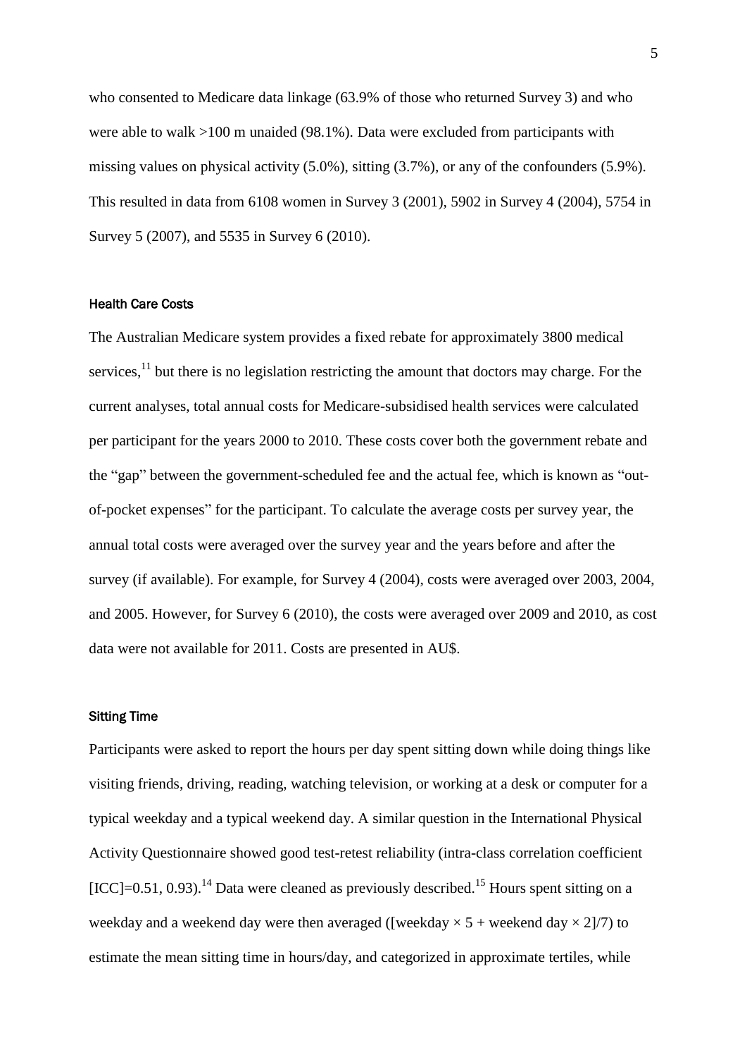who consented to Medicare data linkage (63.9% of those who returned Survey 3) and who were able to walk >100 m unaided (98.1%). Data were excluded from participants with missing values on physical activity (5.0%), sitting (3.7%), or any of the confounders (5.9%). This resulted in data from 6108 women in Survey 3 (2001), 5902 in Survey 4 (2004), 5754 in Survey 5 (2007), and 5535 in Survey 6 (2010).

#### Health Care Costs

The Australian Medicare system provides a fixed rebate for approximately 3800 medical services,<sup>[11](#page-15-1)</sup> but there is no legislation restricting the amount that doctors may charge. For the current analyses, total annual costs for Medicare-subsidised health services were calculated per participant for the years 2000 to 2010. These costs cover both the government rebate and the "gap" between the government-scheduled fee and the actual fee, which is known as "outof-pocket expenses" for the participant. To calculate the average costs per survey year, the annual total costs were averaged over the survey year and the years before and after the survey (if available). For example, for Survey 4 (2004), costs were averaged over 2003, 2004, and 2005. However, for Survey 6 (2010), the costs were averaged over 2009 and 2010, as cost data were not available for 2011. Costs are presented in AU\$.

#### Sitting Time

Participants were asked to report the hours per day spent sitting down while doing things like visiting friends, driving, reading, watching television, or working at a desk or computer for a typical weekday and a typical weekend day. A similar question in the International Physical Activity Questionnaire showed good test-retest reliability (intra-class correlation coefficient  $[ICC] = 0.51, 0.93$ .<sup>[14](#page-15-4)</sup> Data were cleaned as previously described.<sup>[15](#page-15-5)</sup> Hours spent sitting on a weekday and a weekend day were then averaged ([weekday  $\times$  5 + weekend day  $\times$  2]/7) to estimate the mean sitting time in hours/day, and categorized in approximate tertiles, while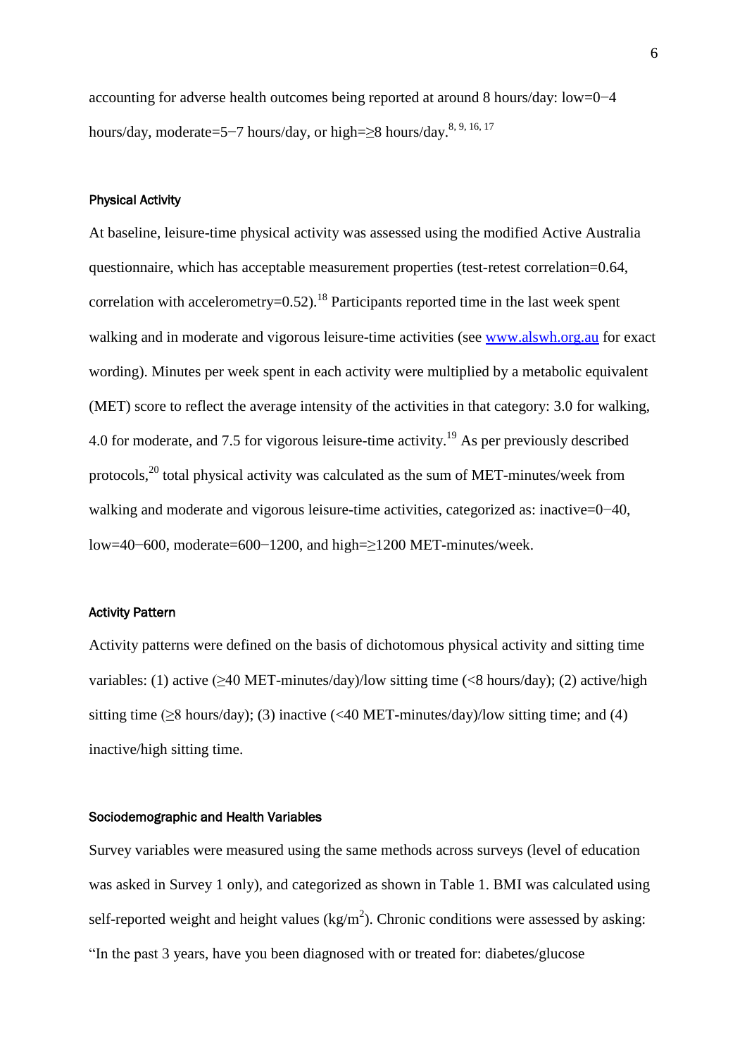accounting for adverse health outcomes being reported at around 8 hours/day: low=0−4 hours/day, moderate=5–7 hours/day, or high=≥8 hours/day.<sup>[8,](#page-14-5) [9,](#page-14-6) [16,](#page-15-6) [17](#page-15-7)</sup>

#### Physical Activity

At baseline, leisure-time physical activity was assessed using the modified Active Australia questionnaire, which has acceptable measurement properties (test-retest correlation=0.64, correlation with accelerometry= $0.52$ ).<sup>[18](#page-15-8)</sup> Participants reported time in the last week spent walking and in moderate and vigorous leisure-time activities (see [www.alswh.org.au](http://www.alswh.org.au/) for exact wording). Minutes per week spent in each activity were multiplied by a metabolic equivalent (MET) score to reflect the average intensity of the activities in that category: 3.0 for walking, 4.0 for moderate, and 7.5 for vigorous leisure-time activity.[19](#page-16-0) As per previously described protocols,[20](#page-16-1) total physical activity was calculated as the sum of MET-minutes/week from walking and moderate and vigorous leisure-time activities, categorized as: inactive=0−40, low=40−600, moderate=600−1200, and high=≥1200 MET-minutes/week.

#### Activity Pattern

Activity patterns were defined on the basis of dichotomous physical activity and sitting time variables: (1) active  $(\geq 40$  MET-minutes/day)/low sitting time (<8 hours/day); (2) active/high sitting time ( $\geq$ 8 hours/day); (3) inactive (<40 MET-minutes/day)/low sitting time; and (4) inactive/high sitting time.

#### Sociodemographic and Health Variables

Survey variables were measured using the same methods across surveys (level of education was asked in Survey 1 only), and categorized as shown in Table 1. BMI was calculated using self-reported weight and height values  $(kg/m<sup>2</sup>)$ . Chronic conditions were assessed by asking: "In the past 3 years, have you been diagnosed with or treated for: diabetes/glucose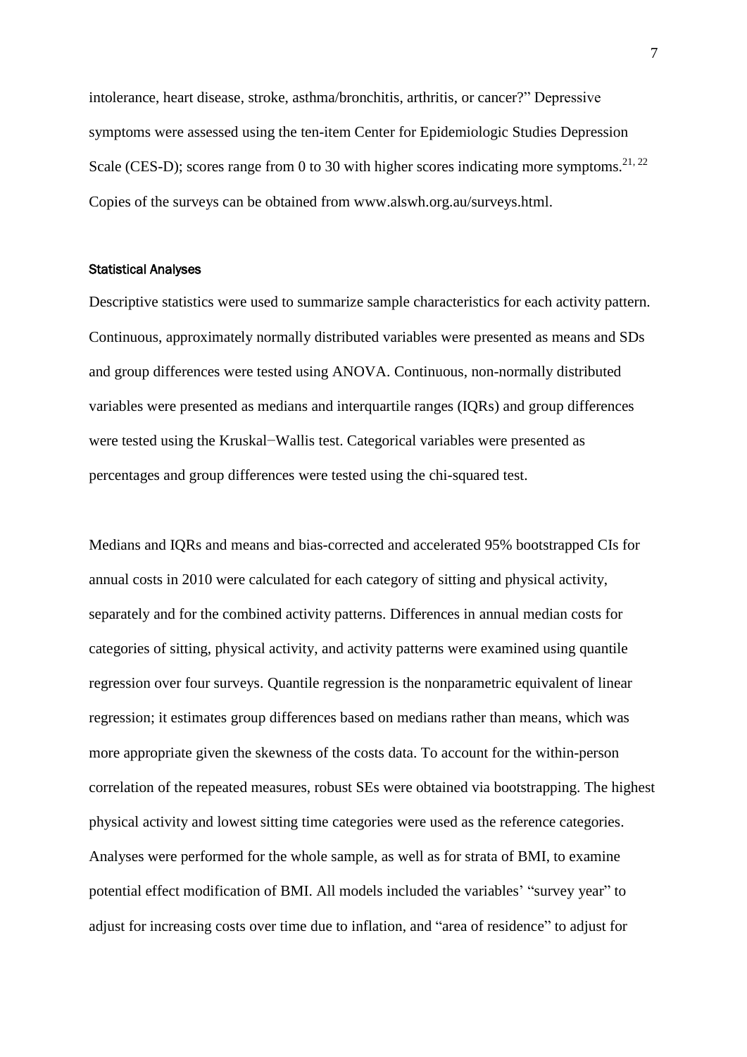intolerance, heart disease, stroke, asthma/bronchitis, arthritis, or cancer?" Depressive symptoms were assessed using the ten-item Center for Epidemiologic Studies Depression Scale (CES-D); scores range from 0 to 30 with higher scores indicating more symptoms.<sup>[21,](#page-16-2) [22](#page-16-3)</sup> Copies of the surveys can be obtained from www.alswh.org.au/surveys.html.

#### Statistical Analyses

Descriptive statistics were used to summarize sample characteristics for each activity pattern. Continuous, approximately normally distributed variables were presented as means and SDs and group differences were tested using ANOVA. Continuous, non-normally distributed variables were presented as medians and interquartile ranges (IQRs) and group differences were tested using the Kruskal−Wallis test. Categorical variables were presented as percentages and group differences were tested using the chi-squared test.

Medians and IQRs and means and bias-corrected and accelerated 95% bootstrapped CIs for annual costs in 2010 were calculated for each category of sitting and physical activity, separately and for the combined activity patterns. Differences in annual median costs for categories of sitting, physical activity, and activity patterns were examined using quantile regression over four surveys. Quantile regression is the nonparametric equivalent of linear regression; it estimates group differences based on medians rather than means, which was more appropriate given the skewness of the costs data. To account for the within-person correlation of the repeated measures, robust SEs were obtained via bootstrapping. The highest physical activity and lowest sitting time categories were used as the reference categories. Analyses were performed for the whole sample, as well as for strata of BMI, to examine potential effect modification of BMI. All models included the variables' "survey year" to adjust for increasing costs over time due to inflation, and "area of residence" to adjust for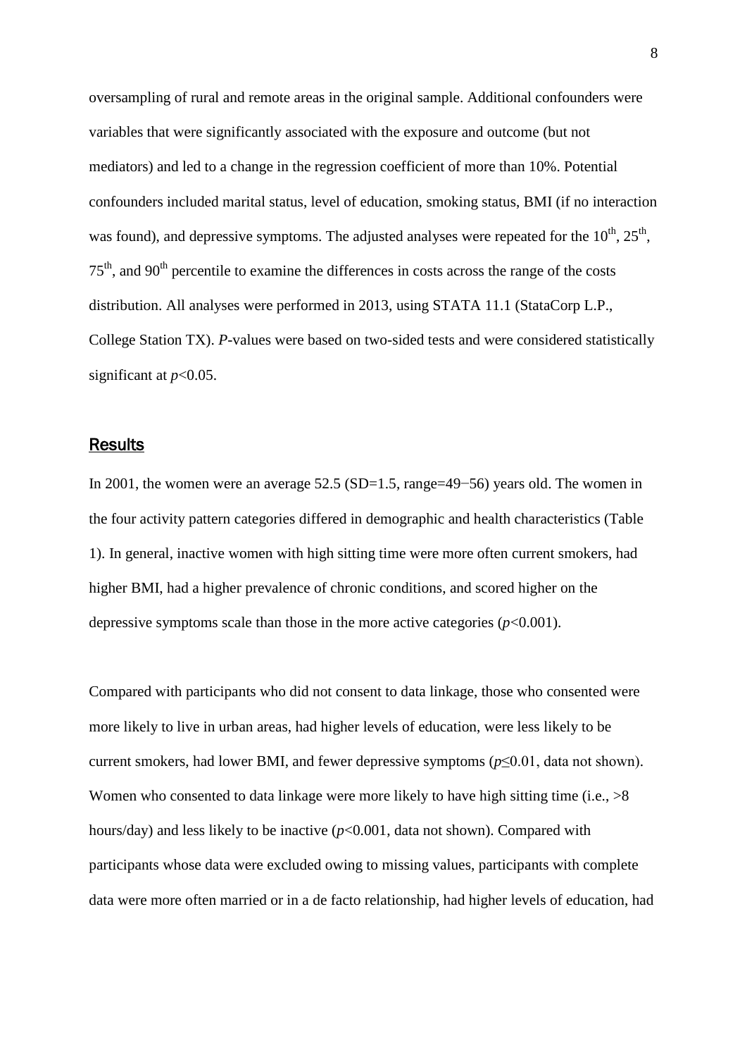oversampling of rural and remote areas in the original sample. Additional confounders were variables that were significantly associated with the exposure and outcome (but not mediators) and led to a change in the regression coefficient of more than 10%. Potential confounders included marital status, level of education, smoking status, BMI (if no interaction was found), and depressive symptoms. The adjusted analyses were repeated for the  $10^{th}$ ,  $25^{th}$ ,  $75<sup>th</sup>$ , and  $90<sup>th</sup>$  percentile to examine the differences in costs across the range of the costs distribution. All analyses were performed in 2013, using STATA 11.1 (StataCorp L.P., College Station TX). *P*-values were based on two-sided tests and were considered statistically significant at *p*<0.05.

#### **Results**

In 2001, the women were an average 52.5 (SD=1.5, range=49−56) years old. The women in the four activity pattern categories differed in demographic and health characteristics (Table 1). In general, inactive women with high sitting time were more often current smokers, had higher BMI, had a higher prevalence of chronic conditions, and scored higher on the depressive symptoms scale than those in the more active categories  $(p<0.001)$ .

Compared with participants who did not consent to data linkage, those who consented were more likely to live in urban areas, had higher levels of education, were less likely to be current smokers, had lower BMI, and fewer depressive symptoms (*p*≤0.01, data not shown). Women who consented to data linkage were more likely to have high sitting time (i.e.,  $>8$ ) hours/day) and less likely to be inactive (*p*<0.001, data not shown). Compared with participants whose data were excluded owing to missing values, participants with complete data were more often married or in a de facto relationship, had higher levels of education, had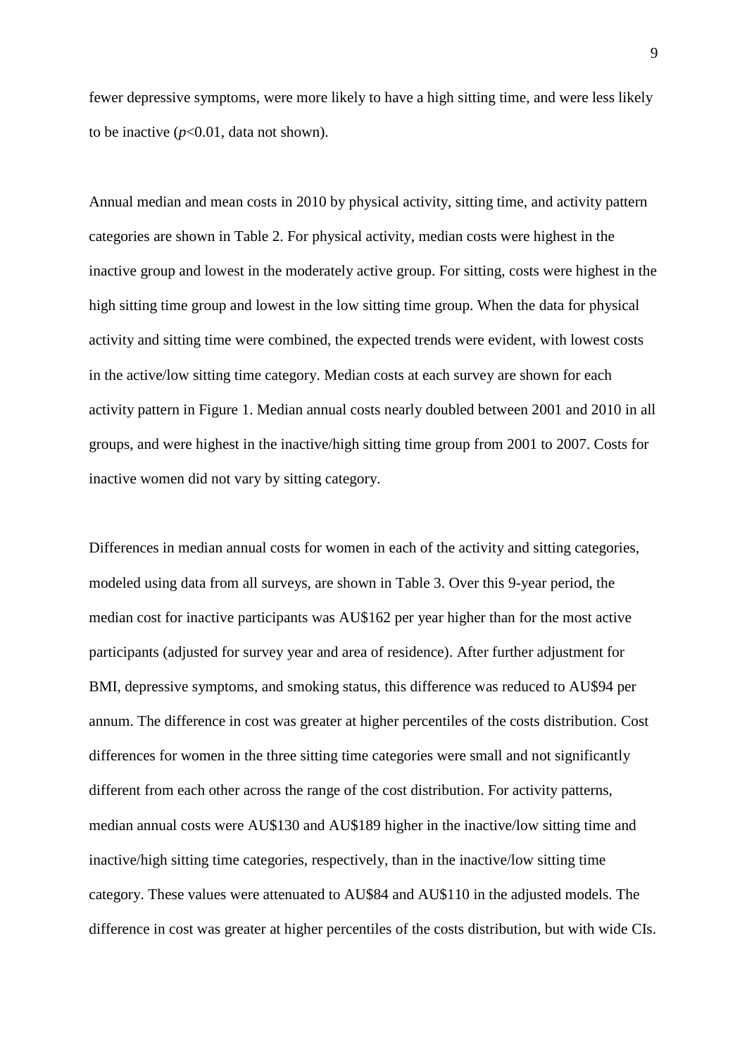fewer depressive symptoms, were more likely to have a high sitting time, and were less likely to be inactive  $(p<0.01$ , data not shown).

Annual median and mean costs in 2010 by physical activity, sitting time, and activity pattern categories are shown in Table 2. For physical activity, median costs were highest in the inactive group and lowest in the moderately active group. For sitting, costs were highest in the high sitting time group and lowest in the low sitting time group. When the data for physical activity and sitting time were combined, the expected trends were evident, with lowest costs in the active/low sitting time category. Median costs at each survey are shown for each activity pattern in Figure 1. Median annual costs nearly doubled between 2001 and 2010 in all groups, and were highest in the inactive/high sitting time group from 2001 to 2007. Costs for inactive women did not vary by sitting category.

Differences in median annual costs for women in each of the activity and sitting categories, modeled using data from all surveys, are shown in Table 3. Over this 9-year period, the median cost for inactive participants was AU\$162 per year higher than for the most active participants (adjusted for survey year and area of residence). After further adjustment for BMI, depressive symptoms, and smoking status, this difference was reduced to AU\$94 per annum. The difference in cost was greater at higher percentiles of the costs distribution. Cost differences for women in the three sitting time categories were small and not significantly different from each other across the range of the cost distribution. For activity patterns, median annual costs were AU\$130 and AU\$189 higher in the inactive/low sitting time and inactive/high sitting time categories, respectively, than in the inactive/low sitting time category. These values were attenuated to AU\$84 and AU\$110 in the adjusted models. The difference in cost was greater at higher percentiles of the costs distribution, but with wide CIs.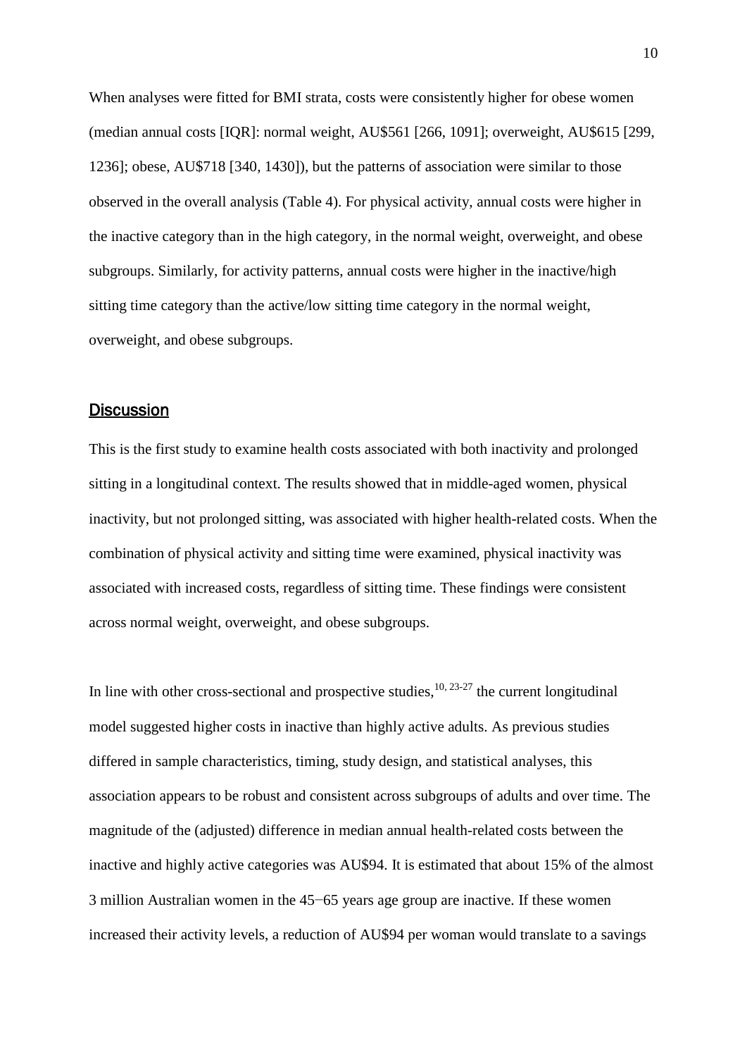When analyses were fitted for BMI strata, costs were consistently higher for obese women (median annual costs [IQR]: normal weight, AU\$561 [266, 1091]; overweight, AU\$615 [299, 1236]; obese, AU\$718 [340, 1430]), but the patterns of association were similar to those observed in the overall analysis (Table 4). For physical activity, annual costs were higher in the inactive category than in the high category, in the normal weight, overweight, and obese subgroups. Similarly, for activity patterns, annual costs were higher in the inactive/high sitting time category than the active/low sitting time category in the normal weight, overweight, and obese subgroups.

## **Discussion**

This is the first study to examine health costs associated with both inactivity and prolonged sitting in a longitudinal context. The results showed that in middle-aged women, physical inactivity, but not prolonged sitting, was associated with higher health-related costs. When the combination of physical activity and sitting time were examined, physical inactivity was associated with increased costs, regardless of sitting time. These findings were consistent across normal weight, overweight, and obese subgroups.

In line with other cross-sectional and prospective studies, $10, 23-27$  $10, 23-27$  the current longitudinal model suggested higher costs in inactive than highly active adults. As previous studies differed in sample characteristics, timing, study design, and statistical analyses, this association appears to be robust and consistent across subgroups of adults and over time. The magnitude of the (adjusted) difference in median annual health-related costs between the inactive and highly active categories was AU\$94. It is estimated that about 15% of the almost 3 million Australian women in the 45−65 years age group are inactive. If these women increased their activity levels, a reduction of AU\$94 per woman would translate to a savings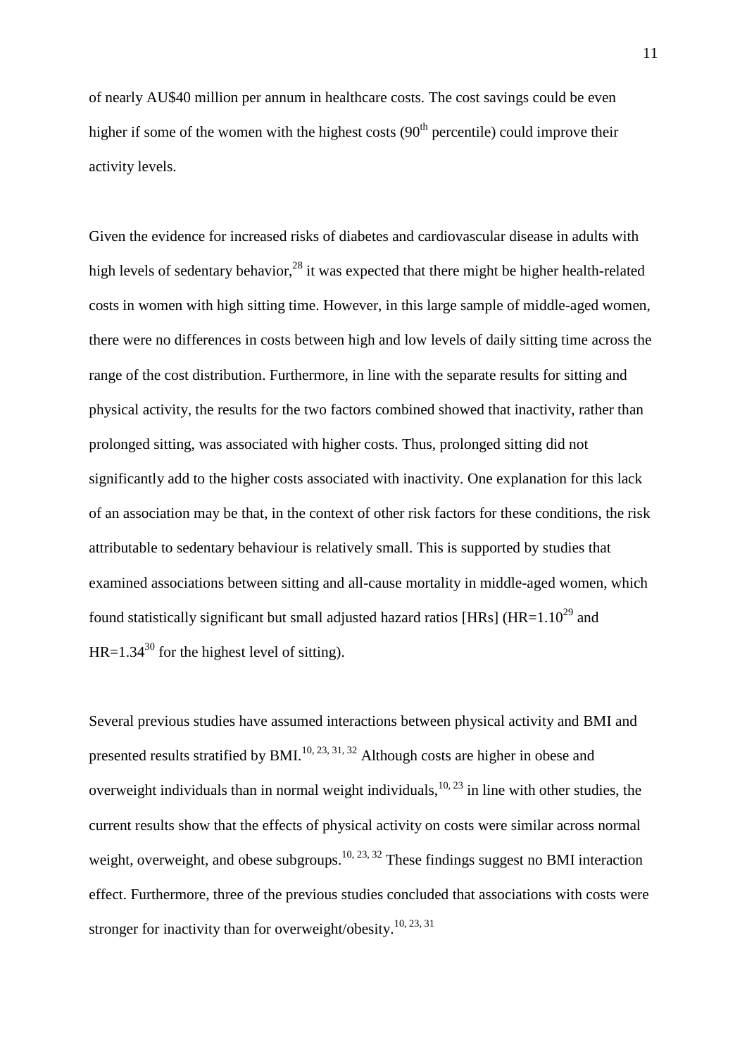of nearly AU\$40 million per annum in healthcare costs. The cost savings could be even higher if some of the women with the highest costs  $(90<sup>th</sup>$  percentile) could improve their activity levels.

Given the evidence for increased risks of diabetes and cardiovascular disease in adults with high levels of sedentary behavior,<sup>[28](#page-17-0)</sup> it was expected that there might be higher health-related costs in women with high sitting time. However, in this large sample of middle-aged women, there were no differences in costs between high and low levels of daily sitting time across the range of the cost distribution. Furthermore, in line with the separate results for sitting and physical activity, the results for the two factors combined showed that inactivity, rather than prolonged sitting, was associated with higher costs. Thus, prolonged sitting did not significantly add to the higher costs associated with inactivity. One explanation for this lack of an association may be that, in the context of other risk factors for these conditions, the risk attributable to sedentary behaviour is relatively small. This is supported by studies that examined associations between sitting and all-cause mortality in middle-aged women, which found statistically significant but small adjusted hazard ratios [HRs] (HR= $1.10^{29}$  $1.10^{29}$  $1.10^{29}$  and  $HR=1.34^{30}$  $HR=1.34^{30}$  $HR=1.34^{30}$  for the highest level of sitting).

Several previous studies have assumed interactions between physical activity and BMI and presented results stratified by BMI.<sup>[10,](#page-15-0) [23,](#page-16-4) [31,](#page-17-3) [32](#page-17-4)</sup> Although costs are higher in obese and overweight individuals than in normal weight individuals,  $10, 23$  $10, 23$  in line with other studies, the current results show that the effects of physical activity on costs were similar across normal weight, overweight, and obese subgroups.<sup>[10,](#page-15-0) [23,](#page-16-4) [32](#page-17-4)</sup> These findings suggest no BMI interaction effect. Furthermore, three of the previous studies concluded that associations with costs were stronger for inactivity than for overweight/obesity.<sup>[10,](#page-15-0) [23,](#page-16-4) [31](#page-17-3)</sup>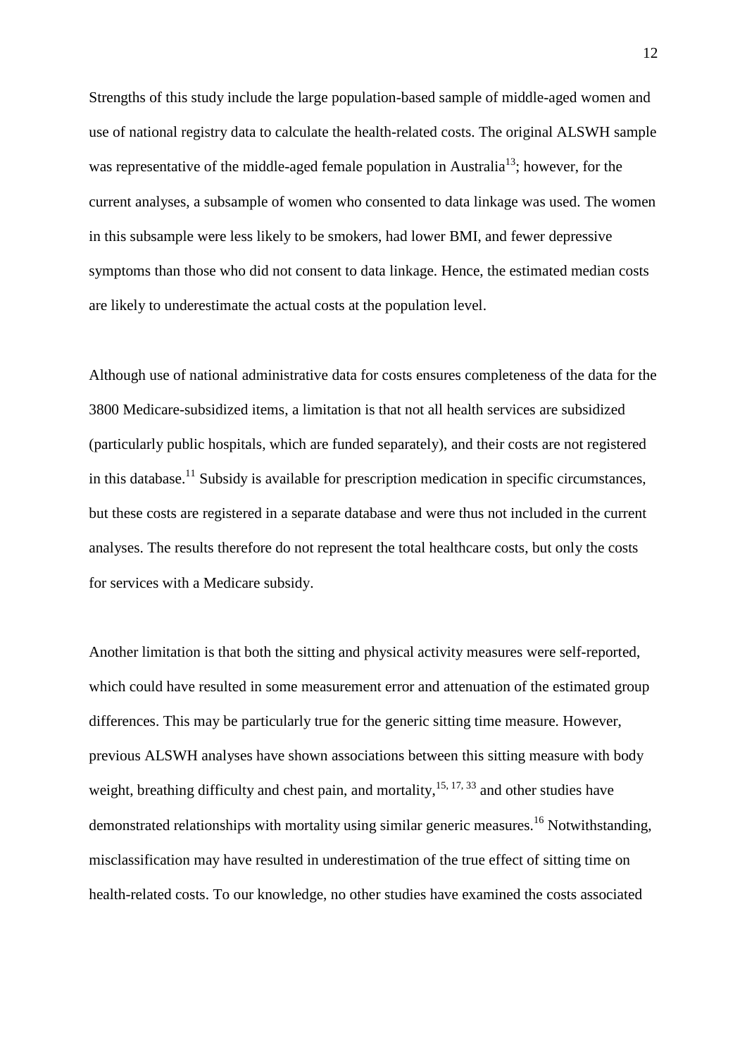Strengths of this study include the large population-based sample of middle-aged women and use of national registry data to calculate the health-related costs. The original ALSWH sample was representative of the middle-aged female population in Australia<sup>[13](#page-15-3)</sup>; however, for the current analyses, a subsample of women who consented to data linkage was used. The women in this subsample were less likely to be smokers, had lower BMI, and fewer depressive symptoms than those who did not consent to data linkage. Hence, the estimated median costs are likely to underestimate the actual costs at the population level.

Although use of national administrative data for costs ensures completeness of the data for the 3800 Medicare-subsidized items, a limitation is that not all health services are subsidized (particularly public hospitals, which are funded separately), and their costs are not registered in this database.<sup>[11](#page-15-1)</sup> Subsidy is available for prescription medication in specific circumstances, but these costs are registered in a separate database and were thus not included in the current analyses. The results therefore do not represent the total healthcare costs, but only the costs for services with a Medicare subsidy.

Another limitation is that both the sitting and physical activity measures were self-reported, which could have resulted in some measurement error and attenuation of the estimated group differences. This may be particularly true for the generic sitting time measure. However, previous ALSWH analyses have shown associations between this sitting measure with body weight, breathing difficulty and chest pain, and mortality, <sup>[15,](#page-15-5) [17,](#page-15-7) [33](#page-17-5)</sup> and other studies have demonstrated relationships with mortality using similar generic measures.<sup>[16](#page-15-6)</sup> Notwithstanding, misclassification may have resulted in underestimation of the true effect of sitting time on health-related costs. To our knowledge, no other studies have examined the costs associated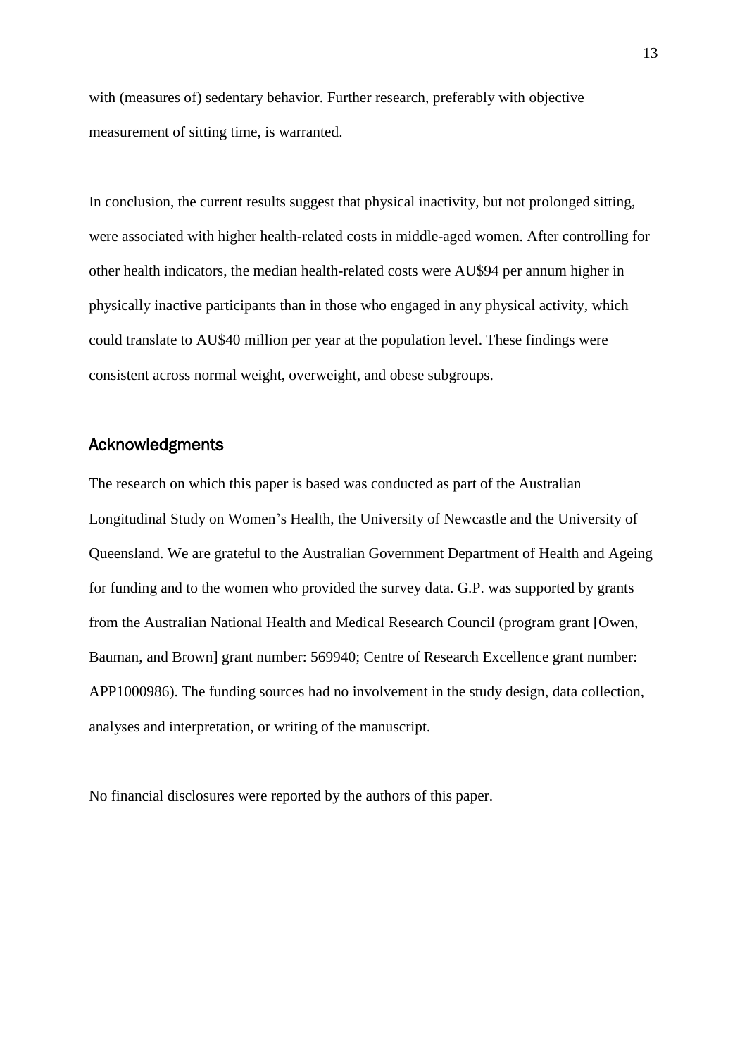with (measures of) sedentary behavior. Further research, preferably with objective measurement of sitting time, is warranted.

In conclusion, the current results suggest that physical inactivity, but not prolonged sitting, were associated with higher health-related costs in middle-aged women. After controlling for other health indicators, the median health-related costs were AU\$94 per annum higher in physically inactive participants than in those who engaged in any physical activity, which could translate to AU\$40 million per year at the population level. These findings were consistent across normal weight, overweight, and obese subgroups.

### Acknowledgments

The research on which this paper is based was conducted as part of the Australian Longitudinal Study on Women's Health, the University of Newcastle and the University of Queensland. We are grateful to the Australian Government Department of Health and Ageing for funding and to the women who provided the survey data. G.P. was supported by grants from the Australian National Health and Medical Research Council (program grant [Owen, Bauman, and Brown] grant number: 569940; Centre of Research Excellence grant number: APP1000986). The funding sources had no involvement in the study design, data collection, analyses and interpretation, or writing of the manuscript.

No financial disclosures were reported by the authors of this paper.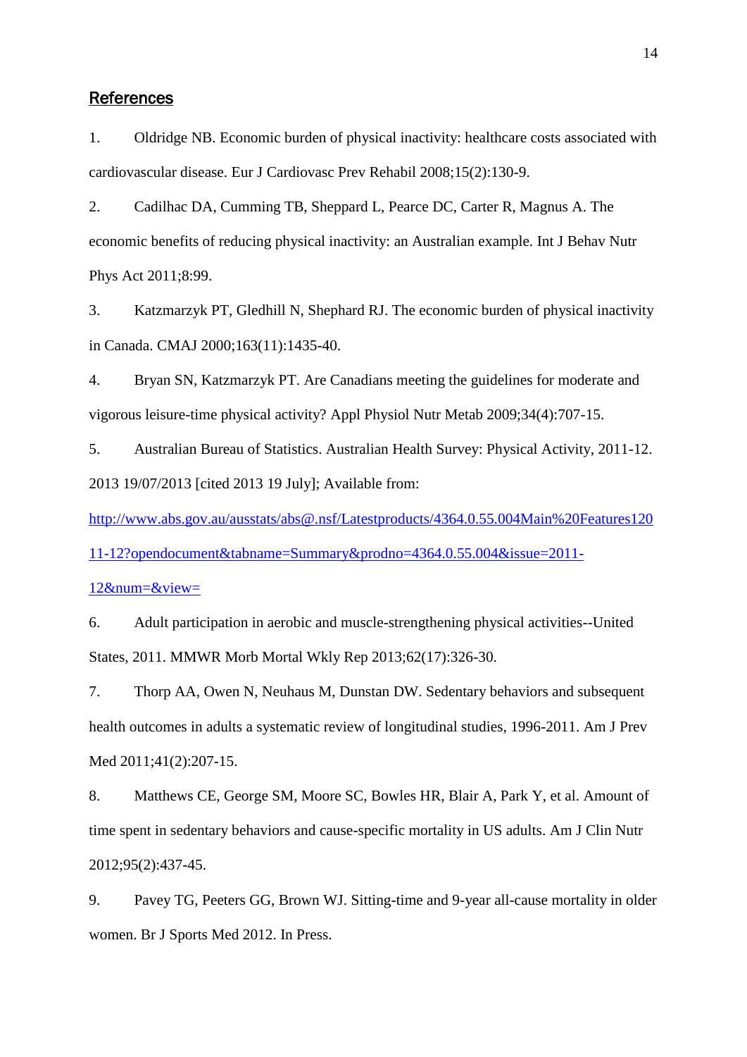#### **References**

<span id="page-14-0"></span>1. Oldridge NB. Economic burden of physical inactivity: healthcare costs associated with cardiovascular disease. Eur J Cardiovasc Prev Rehabil 2008;15(2):130-9.

<span id="page-14-1"></span>2. Cadilhac DA, Cumming TB, Sheppard L, Pearce DC, Carter R, Magnus A. The economic benefits of reducing physical inactivity: an Australian example. Int J Behav Nutr Phys Act 2011;8:99.

<span id="page-14-2"></span>3. Katzmarzyk PT, Gledhill N, Shephard RJ. The economic burden of physical inactivity in Canada. CMAJ 2000;163(11):1435-40.

<span id="page-14-3"></span>4. Bryan SN, Katzmarzyk PT. Are Canadians meeting the guidelines for moderate and vigorous leisure-time physical activity? Appl Physiol Nutr Metab 2009;34(4):707-15.

5. Australian Bureau of Statistics. Australian Health Survey: Physical Activity, 2011-12. 2013 19/07/2013 [cited 2013 19 July]; Available from:

[http://www.abs.gov.au/ausstats/abs@.nsf/Latestproducts/4364.0.55.004Main%20Features120](http://www.abs.gov.au/ausstats/abs@.nsf/Latestproducts/4364.0.55.004Main%20Features12011-12?opendocument&tabname=Summary&prodno=4364.0.55.004&issue=2011-12&num=&view=)

[11-12?opendocument&tabname=Summary&prodno=4364.0.55.004&issue=2011-](http://www.abs.gov.au/ausstats/abs@.nsf/Latestproducts/4364.0.55.004Main%20Features12011-12?opendocument&tabname=Summary&prodno=4364.0.55.004&issue=2011-12&num=&view=)

[12&num=&view=](http://www.abs.gov.au/ausstats/abs@.nsf/Latestproducts/4364.0.55.004Main%20Features12011-12?opendocument&tabname=Summary&prodno=4364.0.55.004&issue=2011-12&num=&view=)

6. Adult participation in aerobic and muscle-strengthening physical activities--United States, 2011. MMWR Morb Mortal Wkly Rep 2013;62(17):326-30.

<span id="page-14-4"></span>7. Thorp AA, Owen N, Neuhaus M, Dunstan DW. Sedentary behaviors and subsequent health outcomes in adults a systematic review of longitudinal studies, 1996-2011. Am J Prev Med 2011;41(2):207-15.

<span id="page-14-5"></span>8. Matthews CE, George SM, Moore SC, Bowles HR, Blair A, Park Y, et al. Amount of time spent in sedentary behaviors and cause-specific mortality in US adults. Am J Clin Nutr 2012;95(2):437-45.

<span id="page-14-6"></span>9. Pavey TG, Peeters GG, Brown WJ. Sitting-time and 9-year all-cause mortality in older women. Br J Sports Med 2012. In Press.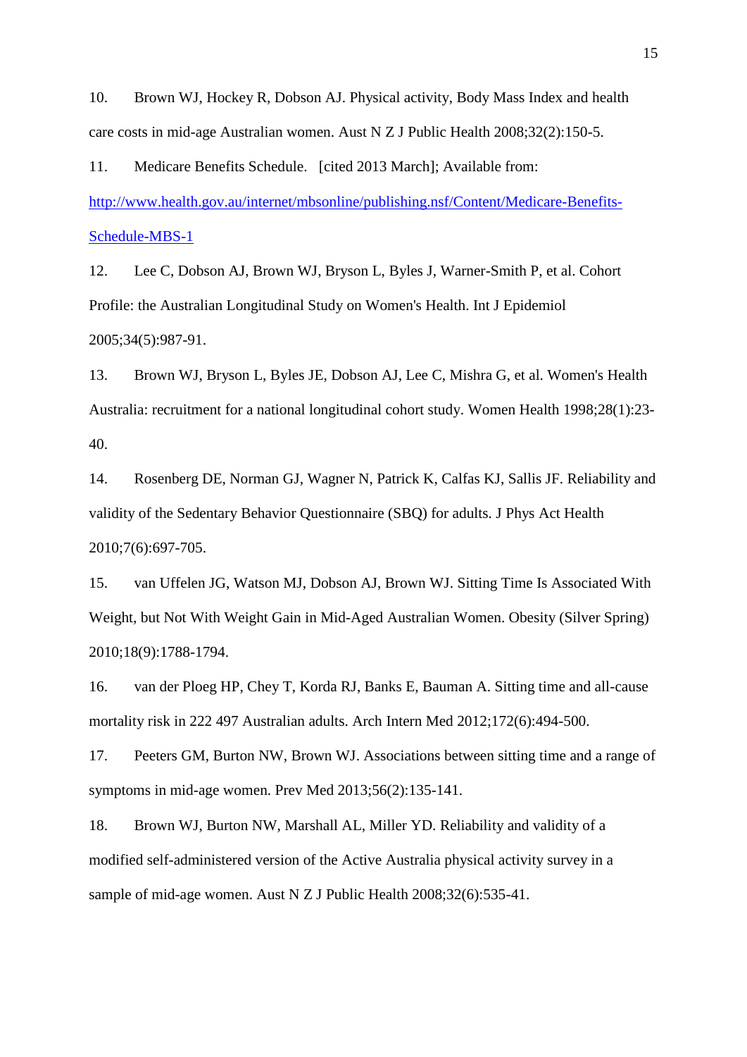<span id="page-15-0"></span>10. Brown WJ, Hockey R, Dobson AJ. Physical activity, Body Mass Index and health care costs in mid-age Australian women. Aust N Z J Public Health 2008;32(2):150-5.

<span id="page-15-1"></span>11. Medicare Benefits Schedule. [cited 2013 March]; Available from: [http://www.health.gov.au/internet/mbsonline/publishing.nsf/Content/Medicare-Benefits-](http://www.health.gov.au/internet/mbsonline/publishing.nsf/Content/Medicare-Benefits-Schedule-MBS-1)[Schedule-MBS-1](http://www.health.gov.au/internet/mbsonline/publishing.nsf/Content/Medicare-Benefits-Schedule-MBS-1)

<span id="page-15-2"></span>12. Lee C, Dobson AJ, Brown WJ, Bryson L, Byles J, Warner-Smith P, et al. Cohort Profile: the Australian Longitudinal Study on Women's Health. Int J Epidemiol 2005;34(5):987-91.

<span id="page-15-3"></span>13. Brown WJ, Bryson L, Byles JE, Dobson AJ, Lee C, Mishra G, et al. Women's Health Australia: recruitment for a national longitudinal cohort study. Women Health 1998;28(1):23- 40.

<span id="page-15-4"></span>14. Rosenberg DE, Norman GJ, Wagner N, Patrick K, Calfas KJ, Sallis JF. Reliability and validity of the Sedentary Behavior Questionnaire (SBQ) for adults. J Phys Act Health 2010;7(6):697-705.

<span id="page-15-5"></span>15. van Uffelen JG, Watson MJ, Dobson AJ, Brown WJ. Sitting Time Is Associated With Weight, but Not With Weight Gain in Mid-Aged Australian Women. Obesity (Silver Spring) 2010;18(9):1788-1794.

<span id="page-15-6"></span>16. van der Ploeg HP, Chey T, Korda RJ, Banks E, Bauman A. Sitting time and all-cause mortality risk in 222 497 Australian adults. Arch Intern Med 2012;172(6):494-500.

<span id="page-15-7"></span>17. Peeters GM, Burton NW, Brown WJ. Associations between sitting time and a range of symptoms in mid-age women. Prev Med 2013;56(2):135-141.

<span id="page-15-8"></span>18. Brown WJ, Burton NW, Marshall AL, Miller YD. Reliability and validity of a modified self-administered version of the Active Australia physical activity survey in a sample of mid-age women. Aust N Z J Public Health 2008;32(6):535-41.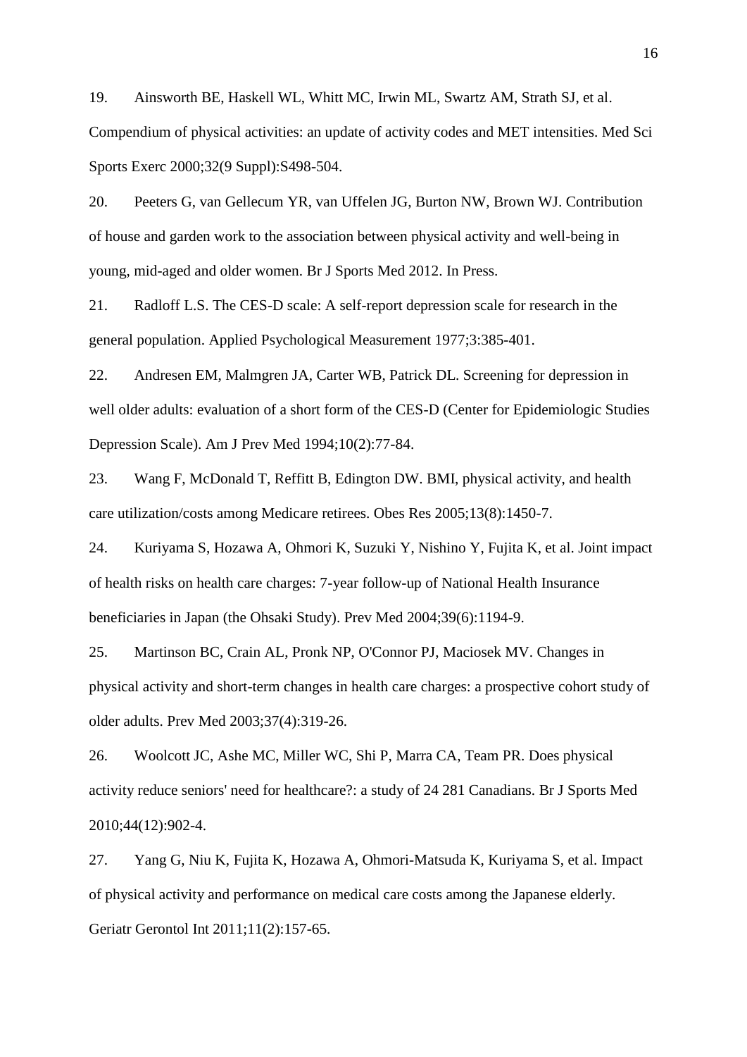<span id="page-16-0"></span>19. Ainsworth BE, Haskell WL, Whitt MC, Irwin ML, Swartz AM, Strath SJ, et al. Compendium of physical activities: an update of activity codes and MET intensities. Med Sci Sports Exerc 2000;32(9 Suppl):S498-504.

<span id="page-16-1"></span>20. Peeters G, van Gellecum YR, van Uffelen JG, Burton NW, Brown WJ. Contribution of house and garden work to the association between physical activity and well-being in young, mid-aged and older women. Br J Sports Med 2012. In Press.

<span id="page-16-2"></span>21. Radloff L.S. The CES-D scale: A self-report depression scale for research in the general population. Applied Psychological Measurement 1977;3:385-401.

<span id="page-16-3"></span>22. Andresen EM, Malmgren JA, Carter WB, Patrick DL. Screening for depression in well older adults: evaluation of a short form of the CES-D (Center for Epidemiologic Studies Depression Scale). Am J Prev Med 1994;10(2):77-84.

<span id="page-16-4"></span>23. Wang F, McDonald T, Reffitt B, Edington DW. BMI, physical activity, and health care utilization/costs among Medicare retirees. Obes Res 2005;13(8):1450-7.

24. Kuriyama S, Hozawa A, Ohmori K, Suzuki Y, Nishino Y, Fujita K, et al. Joint impact of health risks on health care charges: 7-year follow-up of National Health Insurance beneficiaries in Japan (the Ohsaki Study). Prev Med 2004;39(6):1194-9.

25. Martinson BC, Crain AL, Pronk NP, O'Connor PJ, Maciosek MV. Changes in physical activity and short-term changes in health care charges: a prospective cohort study of older adults. Prev Med 2003;37(4):319-26.

26. Woolcott JC, Ashe MC, Miller WC, Shi P, Marra CA, Team PR. Does physical activity reduce seniors' need for healthcare?: a study of 24 281 Canadians. Br J Sports Med 2010;44(12):902-4.

27. Yang G, Niu K, Fujita K, Hozawa A, Ohmori-Matsuda K, Kuriyama S, et al. Impact of physical activity and performance on medical care costs among the Japanese elderly. Geriatr Gerontol Int 2011;11(2):157-65.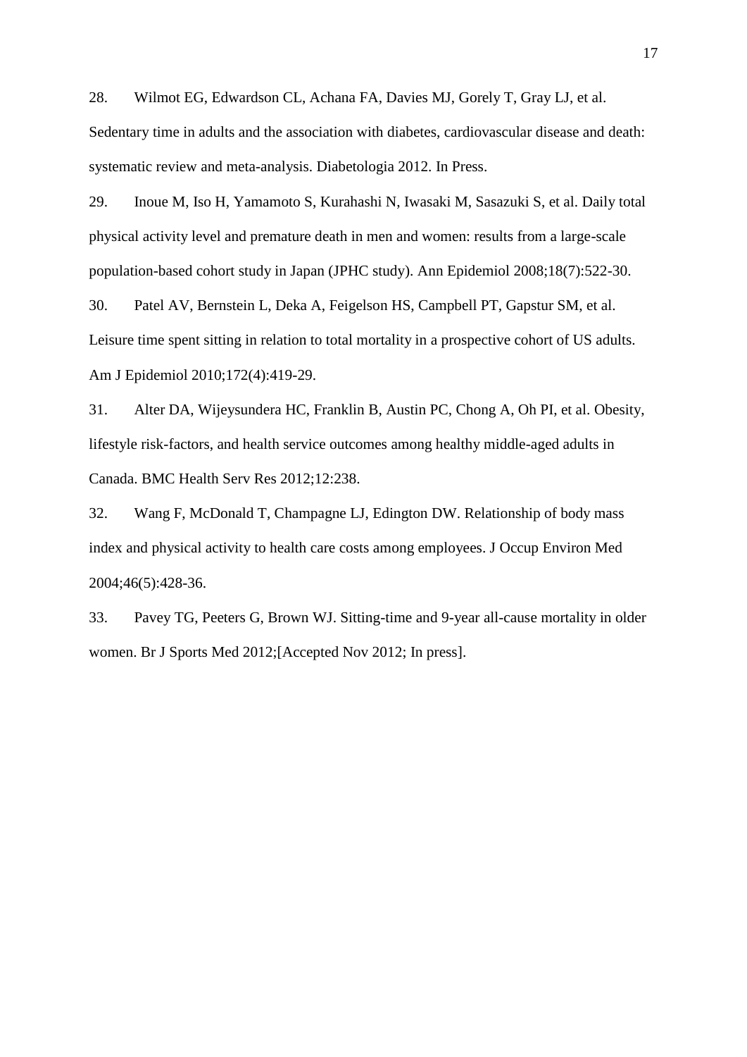<span id="page-17-0"></span>28. Wilmot EG, Edwardson CL, Achana FA, Davies MJ, Gorely T, Gray LJ, et al.

Sedentary time in adults and the association with diabetes, cardiovascular disease and death: systematic review and meta-analysis. Diabetologia 2012. In Press.

<span id="page-17-1"></span>29. Inoue M, Iso H, Yamamoto S, Kurahashi N, Iwasaki M, Sasazuki S, et al. Daily total physical activity level and premature death in men and women: results from a large-scale population-based cohort study in Japan (JPHC study). Ann Epidemiol 2008;18(7):522-30.

<span id="page-17-2"></span>30. Patel AV, Bernstein L, Deka A, Feigelson HS, Campbell PT, Gapstur SM, et al. Leisure time spent sitting in relation to total mortality in a prospective cohort of US adults. Am J Epidemiol 2010;172(4):419-29.

<span id="page-17-3"></span>31. Alter DA, Wijeysundera HC, Franklin B, Austin PC, Chong A, Oh PI, et al. Obesity, lifestyle risk-factors, and health service outcomes among healthy middle-aged adults in Canada. BMC Health Serv Res 2012;12:238.

<span id="page-17-4"></span>32. Wang F, McDonald T, Champagne LJ, Edington DW. Relationship of body mass index and physical activity to health care costs among employees. J Occup Environ Med 2004;46(5):428-36.

<span id="page-17-5"></span>33. Pavey TG, Peeters G, Brown WJ. Sitting-time and 9-year all-cause mortality in older women. Br J Sports Med 2012;[Accepted Nov 2012; In press].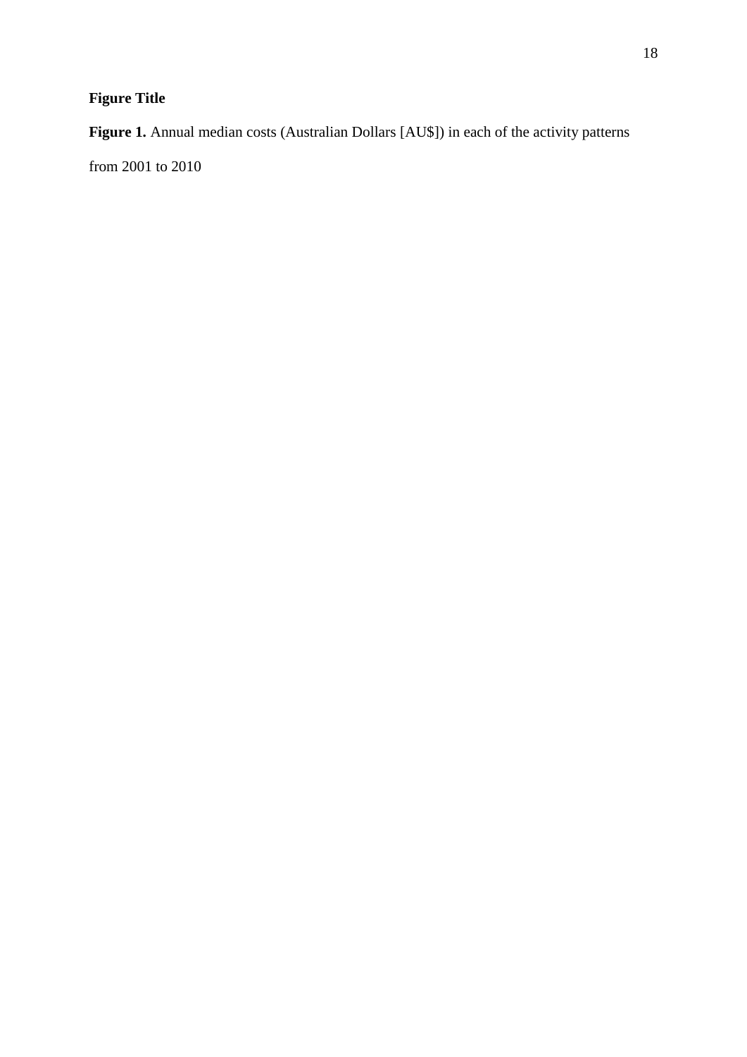# **Figure Title**

# **Figure 1.** Annual median costs (Australian Dollars [AU\$]) in each of the activity patterns

from 2001 to 2010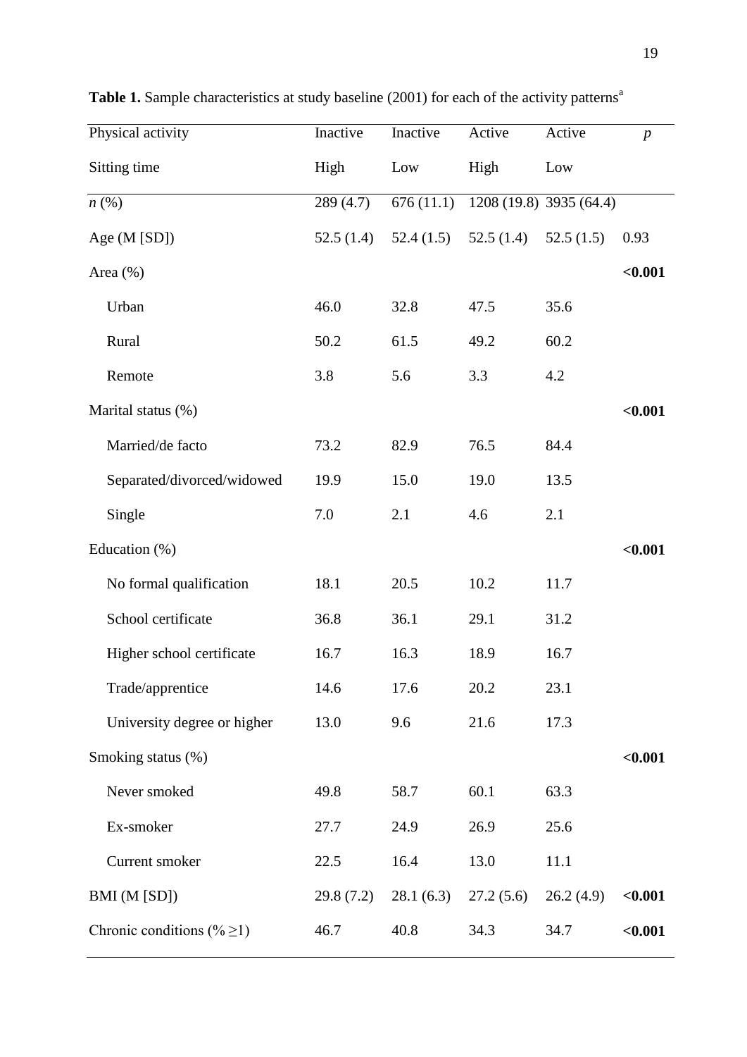| Physical activity               | Inactive  | Inactive  | Active    | Active                  | $\boldsymbol{p}$ |
|---------------------------------|-----------|-----------|-----------|-------------------------|------------------|
| Sitting time                    | High      | Low       | High      | Low                     |                  |
| $n\left(\%\right)$              | 289 (4.7) | 676(11.1) |           | 1208 (19.8) 3935 (64.4) |                  |
| Age $(M [SD])$                  | 52.5(1.4) | 52.4(1.5) | 52.5(1.4) | 52.5(1.5)               | 0.93             |
| Area $(\% )$                    |           |           |           |                         | < 0.001          |
| Urban                           | 46.0      | 32.8      | 47.5      | 35.6                    |                  |
| Rural                           | 50.2      | 61.5      | 49.2      | 60.2                    |                  |
| Remote                          | 3.8       | 5.6       | 3.3       | 4.2                     |                  |
| Marital status (%)              |           |           |           |                         | < 0.001          |
| Married/de facto                | 73.2      | 82.9      | 76.5      | 84.4                    |                  |
| Separated/divorced/widowed      | 19.9      | 15.0      | 19.0      | 13.5                    |                  |
| Single                          | 7.0       | 2.1       | 4.6       | 2.1                     |                  |
| Education (%)                   |           |           |           |                         | < 0.001          |
| No formal qualification         | 18.1      | 20.5      | 10.2      | 11.7                    |                  |
| School certificate              | 36.8      | 36.1      | 29.1      | 31.2                    |                  |
| Higher school certificate       | 16.7      | 16.3      | 18.9      | 16.7                    |                  |
| Trade/apprentice                | 14.6      | 17.6      | 20.2      | 23.1                    |                  |
| University degree or higher     | 13.0      | 9.6       | 21.6      | 17.3                    |                  |
| Smoking status (%)              |           |           |           |                         | < 0.001          |
| Never smoked                    | 49.8      | 58.7      | 60.1      | 63.3                    |                  |
| Ex-smoker                       | 27.7      | 24.9      | 26.9      | 25.6                    |                  |
| Current smoker                  | 22.5      | 16.4      | 13.0      | 11.1                    |                  |
| BMI (M [SD])                    | 29.8(7.2) | 28.1(6.3) | 27.2(5.6) | 26.2(4.9)               | $0.001$          |
| Chronic conditions (% $\geq$ 1) | 46.7      | 40.8      | 34.3      | 34.7                    | < 0.001          |

Table 1. Sample characteristics at study baseline (2001) for each of the activity patterns<sup>a</sup>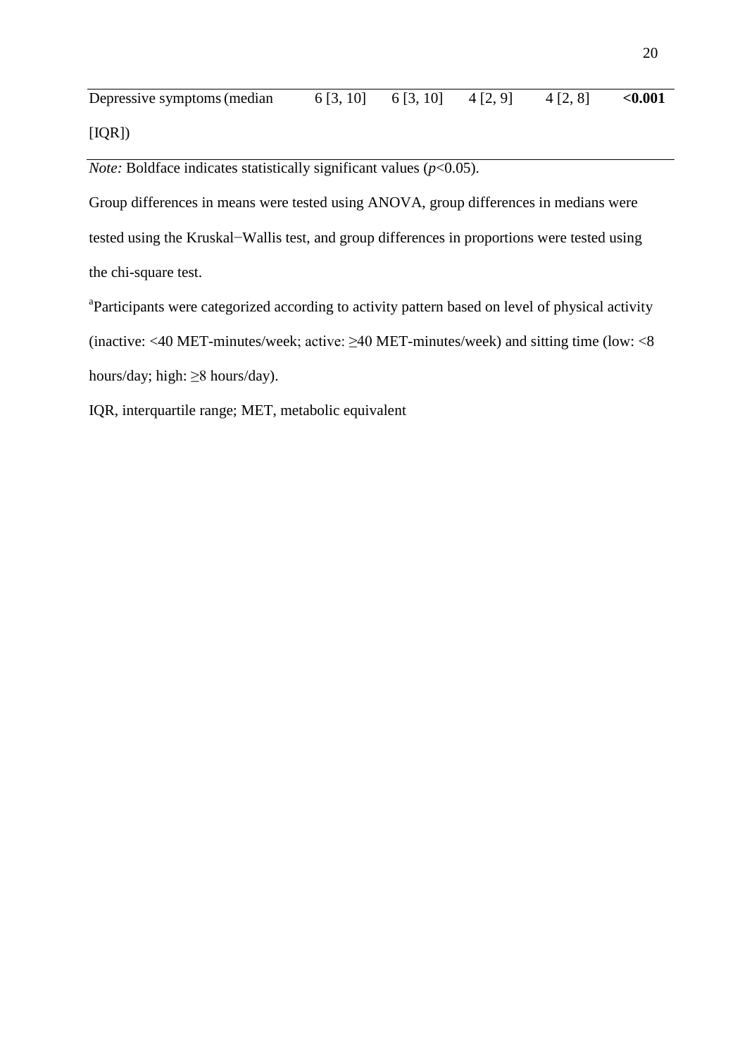| Depressive symptoms (median) |  | $6[3, 10]$ $6[3, 10]$ $4[2, 9]$ $4[2, 8]$ | $<\!\!0.001$ |
|------------------------------|--|-------------------------------------------|--------------|
| [IQR])                       |  |                                           |              |

*Note:* Boldface indicates statistically significant values  $(p<0.05)$ .

Group differences in means were tested using ANOVA, group differences in medians were tested using the Kruskal−Wallis test, and group differences in proportions were tested using the chi-square test.

<sup>a</sup>Participants were categorized according to activity pattern based on level of physical activity (inactive: <40 MET-minutes/week; active: ≥40 MET-minutes/week) and sitting time (low: <8 hours/day; high: ≥8 hours/day).

IQR, interquartile range; MET, metabolic equivalent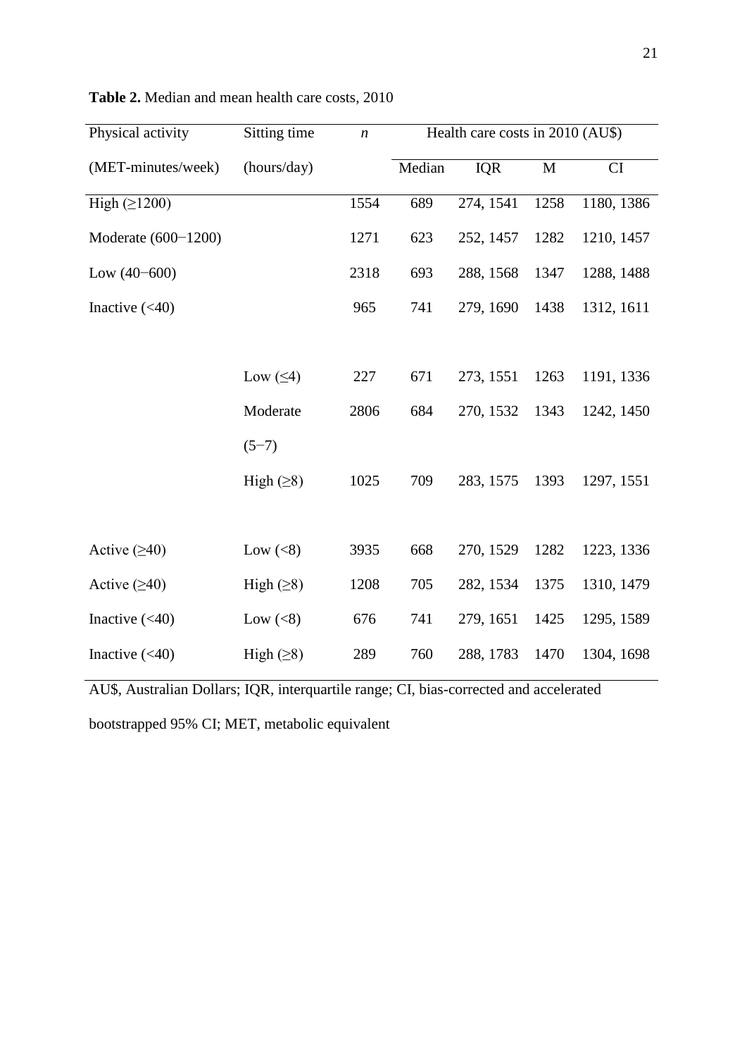| Physical activity     | Sitting time    | $\boldsymbol{n}$ | Health care costs in 2010 (AU\$) |            |             |            |
|-----------------------|-----------------|------------------|----------------------------------|------------|-------------|------------|
| (MET-minutes/week)    | (hours/day)     |                  | Median                           | <b>IQR</b> | $\mathbf M$ | CI         |
| High $(\geq 1200)$    |                 | 1554             | 689                              | 274, 1541  | 1258        | 1180, 1386 |
| Moderate $(600-1200)$ |                 | 1271             | 623                              | 252, 1457  | 1282        | 1210, 1457 |
| Low $(40-600)$        |                 | 2318             | 693                              | 288, 1568  | 1347        | 1288, 1488 |
| Inactive $(<40)$      |                 | 965              | 741                              | 279, 1690  | 1438        | 1312, 1611 |
|                       |                 |                  |                                  |            |             |            |
|                       | Low $(\leq 4)$  | 227              | 671                              | 273, 1551  | 1263        | 1191, 1336 |
|                       | Moderate        | 2806             | 684                              | 270, 1532  | 1343        | 1242, 1450 |
|                       | $(5-7)$         |                  |                                  |            |             |            |
|                       | High $(\geq 8)$ | 1025             | 709                              | 283, 1575  | 1393        | 1297, 1551 |
|                       |                 |                  |                                  |            |             |            |
| Active $(≥40)$        | Low $(<8)$      | 3935             | 668                              | 270, 1529  | 1282        | 1223, 1336 |
| Active $(≥40)$        | High $(\geq 8)$ | 1208             | 705                              | 282, 1534  | 1375        | 1310, 1479 |
| Inactive $(<40)$      | Low $(<8)$      | 676              | 741                              | 279, 1651  | 1425        | 1295, 1589 |
| Inactive $(40)$       | High $(\geq 8)$ | 289              | 760                              | 288, 1783  | 1470        | 1304, 1698 |

**Table 2.** Median and mean health care costs, 2010

AU\$, Australian Dollars; IQR, interquartile range; CI, bias-corrected and accelerated

bootstrapped 95% CI; MET, metabolic equivalent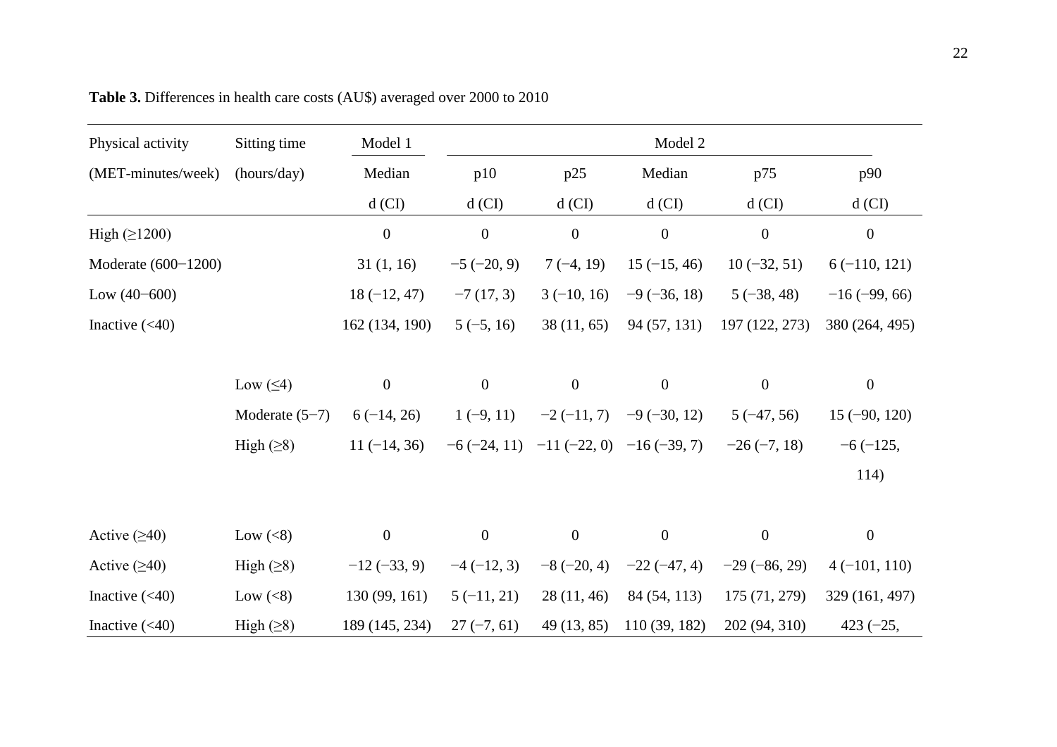| Physical activity   | Sitting time     | Model 1          | Model 2          |                                              |                  |                  |                  |  |
|---------------------|------------------|------------------|------------------|----------------------------------------------|------------------|------------------|------------------|--|
| (MET-minutes/week)  | (hours/day)      | Median           | p10              | p25                                          | Median           | p75              | p90              |  |
|                     |                  | $d$ (CI)         | $d$ (CI)         | $d$ (CI)                                     | $d$ (CI)         | $d$ (CI)         | $d$ (CI)         |  |
| High $(\geq 1200)$  |                  | $\boldsymbol{0}$ | $\boldsymbol{0}$ | $\boldsymbol{0}$                             | $\boldsymbol{0}$ | $\boldsymbol{0}$ | $\boldsymbol{0}$ |  |
| Moderate (600-1200) |                  | 31(1, 16)        | $-5(-20, 9)$     | $7(-4, 19)$                                  | $15(-15, 46)$    | $10(-32, 51)$    | $6(-110, 121)$   |  |
| Low $(40-600)$      |                  | $18(-12, 47)$    | $-7(17, 3)$      | $3(-10, 16)$                                 | $-9(-36, 18)$    | $5(-38, 48)$     | $-16(-99, 66)$   |  |
| Inactive $(<40)$    |                  | 162 (134, 190)   | $5(-5, 16)$      | 38(11, 65)                                   | 94 (57, 131)     | 197 (122, 273)   | 380 (264, 495)   |  |
|                     |                  |                  |                  |                                              |                  |                  |                  |  |
|                     | Low $(\leq 4)$   | $\boldsymbol{0}$ | $\boldsymbol{0}$ | $\boldsymbol{0}$                             | $\boldsymbol{0}$ | $\boldsymbol{0}$ | $\overline{0}$   |  |
|                     | Moderate $(5-7)$ | $6(-14, 26)$     | $1(-9, 11)$      | $-2(-11, 7)$                                 | $-9(-30, 12)$    | $5(-47, 56)$     | $15(-90, 120)$   |  |
|                     | High $(\geq 8)$  | $11(-14, 36)$    |                  | $-6$ (-24, 11) $-11$ (-22, 0) $-16$ (-39, 7) |                  | $-26(-7, 18)$    | $-6(-125,$       |  |
|                     |                  |                  |                  |                                              |                  |                  | 114)             |  |
|                     |                  |                  |                  |                                              |                  |                  |                  |  |
| Active $(\geq 40)$  | Low $(<8)$       | $\boldsymbol{0}$ | $\boldsymbol{0}$ | $\boldsymbol{0}$                             | $\boldsymbol{0}$ | $\boldsymbol{0}$ | $\boldsymbol{0}$ |  |
| Active $(≥40)$      | High $(\geq 8)$  | $-12(-33, 9)$    | $-4(-12, 3)$     | $-8(-20, 4)$                                 | $-22(-47, 4)$    | $-29(-86, 29)$   | $4(-101, 110)$   |  |
| Inactive $(<40)$    | Low $(<8)$       | 130 (99, 161)    | $5(-11, 21)$     | 28(11, 46)                                   | 84 (54, 113)     | 175 (71, 279)    | 329 (161, 497)   |  |
| Inactive $(<40)$    | High $(\geq 8)$  | 189 (145, 234)   | $27(-7, 61)$     | 49 (13, 85)                                  | 110(39, 182)     | 202 (94, 310)    | $423 (-25,$      |  |

**Table 3.** Differences in health care costs (AU\$) averaged over 2000 to 2010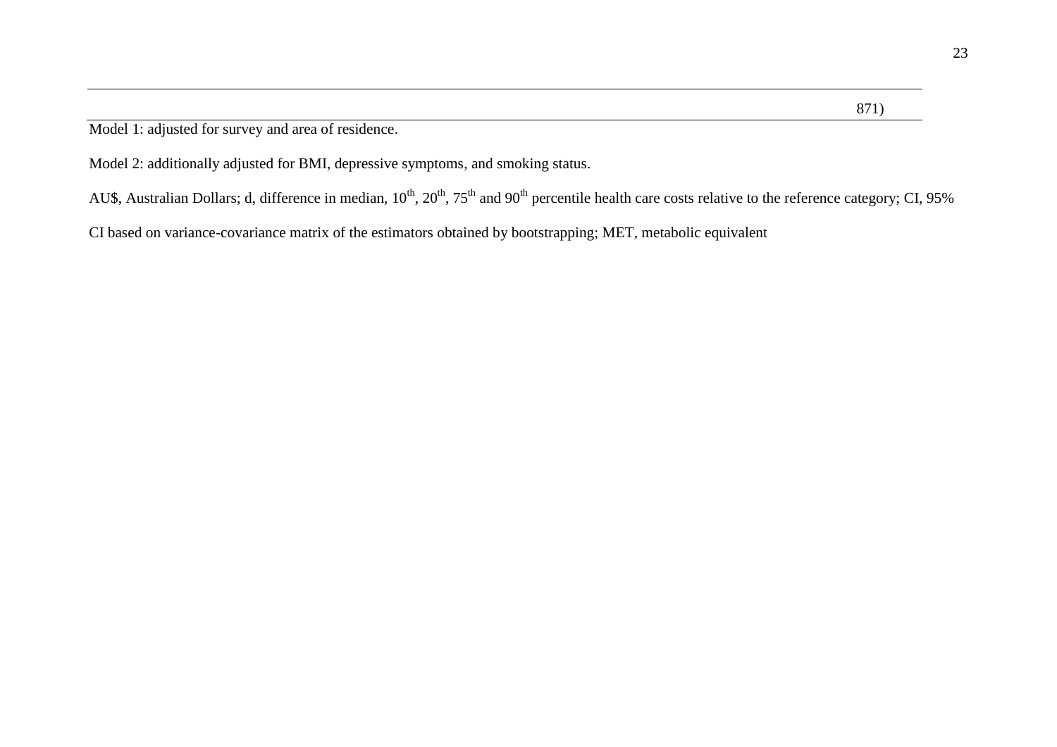Model 1: adjusted for survey and area of residence.

Model 2: additionally adjusted for BMI, depressive symptoms, and smoking status.

AU\$, Australian Dollars; d, difference in median, 10<sup>th</sup>, 20<sup>th</sup>, 75<sup>th</sup> and 90<sup>th</sup> percentile health care costs relative to the reference category; CI, 95%

CI based on variance-covariance matrix of the estimators obtained by bootstrapping; MET, metabolic equivalent

871)

23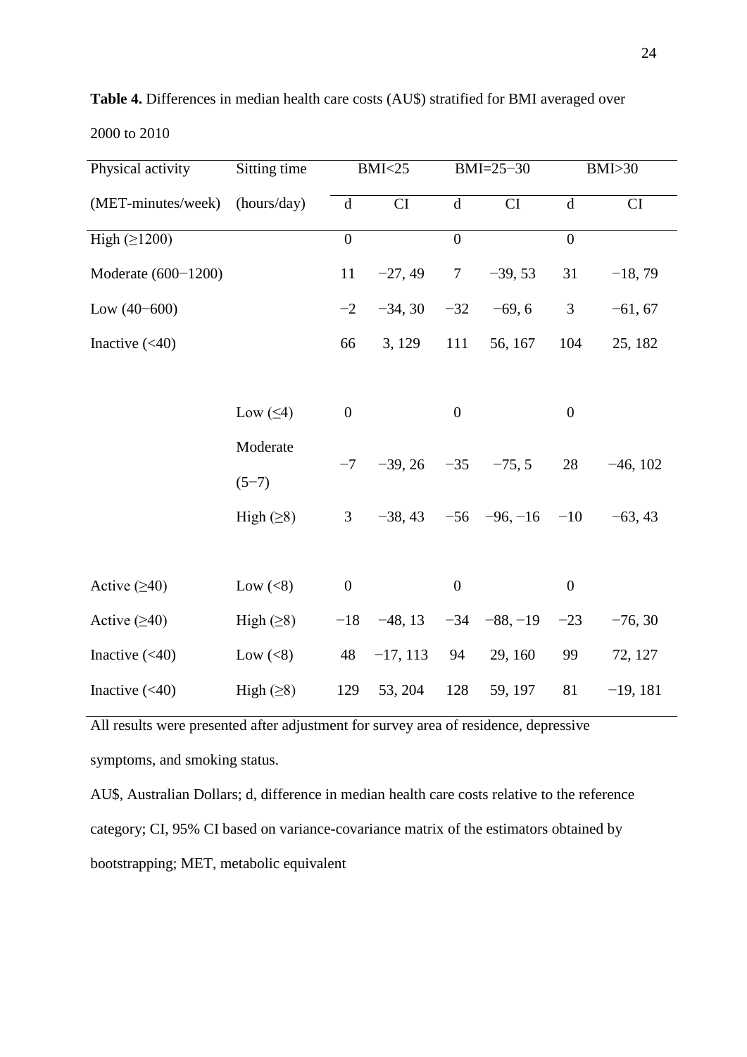| Physical activity   | Sitting time    | <b>BMI&lt;25</b> |            | $BMI = 25 - 30$  |                            | <b>BMI&gt;30</b> |            |
|---------------------|-----------------|------------------|------------|------------------|----------------------------|------------------|------------|
| (MET-minutes/week)  | (hours/day)     | d                | CI         | $\mathbf d$      | CI                         | $\mathbf d$      | CI         |
| High $(\geq 1200)$  |                 | $\boldsymbol{0}$ |            | $\overline{0}$   |                            | $\boldsymbol{0}$ |            |
| Moderate (600-1200) |                 | 11               | $-27, 49$  | $7\overline{ }$  | $-39, 53$                  | 31               | $-18,79$   |
| Low $(40-600)$      |                 | $-2$             | $-34, 30$  | $-32$            | $-69, 6$                   | $\mathfrak{Z}$   | $-61, 67$  |
| Inactive $(40)$     |                 | 66               | 3, 129     | 111              | 56, 167                    | 104              | 25, 182    |
|                     |                 |                  |            |                  |                            |                  |            |
|                     | Low $(\leq 4)$  | $\boldsymbol{0}$ |            | $\boldsymbol{0}$ |                            | $\boldsymbol{0}$ |            |
|                     | Moderate        |                  |            |                  |                            |                  |            |
|                     | $(5-7)$         | $-7$             | $-39, 26$  | $-35$            | $-75, 5$                   | 28               | $-46, 102$ |
|                     | High $(\geq 8)$ | 3 <sup>7</sup>   |            |                  | $-38, 43$ $-56$ $-96, -16$ | $-10$            | $-63, 43$  |
|                     |                 |                  |            |                  |                            |                  |            |
| Active $(≥40)$      | Low $(<8)$      | $\boldsymbol{0}$ |            | $\boldsymbol{0}$ |                            | $\boldsymbol{0}$ |            |
| Active $(\geq 40)$  | High $(\geq 8)$ | $-18$            | $-48, 13$  |                  | $-34 -88, -19$             | $-23$            | $-76, 30$  |
| Inactive $(<40)$    | Low $(<8)$      | 48               | $-17, 113$ | 94               | 29, 160                    | 99               | 72, 127    |
| Inactive $(40)$     | High $(\geq 8)$ | 129              | 53, 204    | 128              | 59, 197                    | 81               | $-19, 181$ |

**Table 4.** Differences in median health care costs (AU\$) stratified for BMI averaged over

2000 to 2010

All results were presented after adjustment for survey area of residence, depressive symptoms, and smoking status.

AU\$, Australian Dollars; d, difference in median health care costs relative to the reference category; CI, 95% CI based on variance-covariance matrix of the estimators obtained by bootstrapping; MET, metabolic equivalent